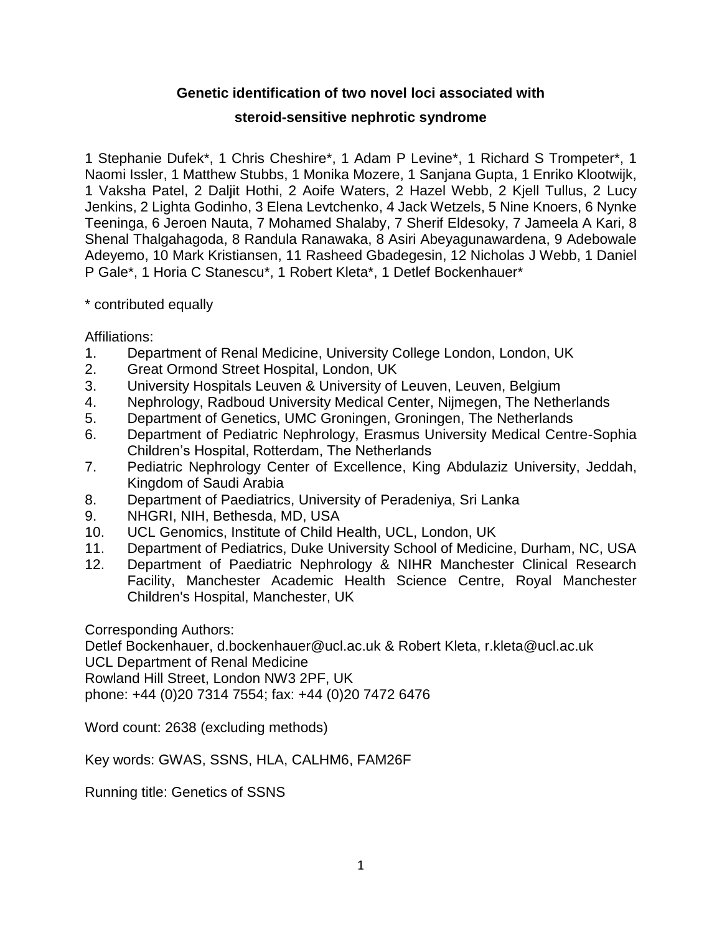# **Genetic identification of two novel loci associated with**

# **steroid-sensitive nephrotic syndrome**

1 Stephanie Dufek\*, 1 Chris Cheshire\*, 1 Adam P Levine\*, 1 Richard S Trompeter\*, 1 Naomi Issler, 1 Matthew Stubbs, 1 Monika Mozere, 1 Sanjana Gupta, 1 Enriko Klootwijk, 1 Vaksha Patel, 2 Daljit Hothi, 2 Aoife Waters, 2 Hazel Webb, 2 Kjell Tullus, 2 Lucy Jenkins, 2 Lighta Godinho, 3 Elena Levtchenko, 4 Jack Wetzels, 5 Nine Knoers, 6 Nynke Teeninga, 6 Jeroen Nauta, 7 Mohamed Shalaby, 7 Sherif Eldesoky, 7 Jameela A Kari, 8 Shenal Thalgahagoda, 8 Randula Ranawaka, 8 Asiri Abeyagunawardena, 9 Adebowale Adeyemo, 10 Mark Kristiansen, 11 Rasheed Gbadegesin, 12 Nicholas J Webb, 1 Daniel P Gale\*, 1 Horia C Stanescu\*, 1 Robert Kleta\*, 1 Detlef Bockenhauer\*

# \* contributed equally

Affiliations:

- 1. Department of Renal Medicine, University College London, London, UK
- 2. Great Ormond Street Hospital, London, UK
- 3. University Hospitals Leuven & University of Leuven, Leuven, Belgium
- 4. Nephrology, Radboud University Medical Center, Nijmegen, The Netherlands
- 5. Department of Genetics, UMC Groningen, Groningen, The Netherlands
- 6. Department of Pediatric Nephrology, Erasmus University Medical Centre-Sophia Children's Hospital, Rotterdam, The Netherlands
- 7. Pediatric Nephrology Center of Excellence, King Abdulaziz University, Jeddah, Kingdom of Saudi Arabia
- 8. Department of Paediatrics, University of Peradeniya, Sri Lanka
- 9. NHGRI, NIH, Bethesda, MD, USA
- 10. UCL Genomics, Institute of Child Health, UCL, London, UK
- 11. Department of Pediatrics, Duke University School of Medicine, Durham, NC, USA
- 12. Department of Paediatric Nephrology & NIHR Manchester Clinical Research Facility, Manchester Academic Health Science Centre, Royal Manchester Children's Hospital, Manchester, UK

Corresponding Authors:

Detlef Bockenhauer, d.bockenhauer@ucl.ac.uk & Robert Kleta, r.kleta@ucl.ac.uk UCL Department of Renal Medicine Rowland Hill Street, London NW3 2PF, UK

phone: +44 (0)20 7314 7554; fax: +44 (0)20 7472 6476

Word count: 2638 (excluding methods)

Key words: GWAS, SSNS, HLA, CALHM6, FAM26F

Running title: Genetics of SSNS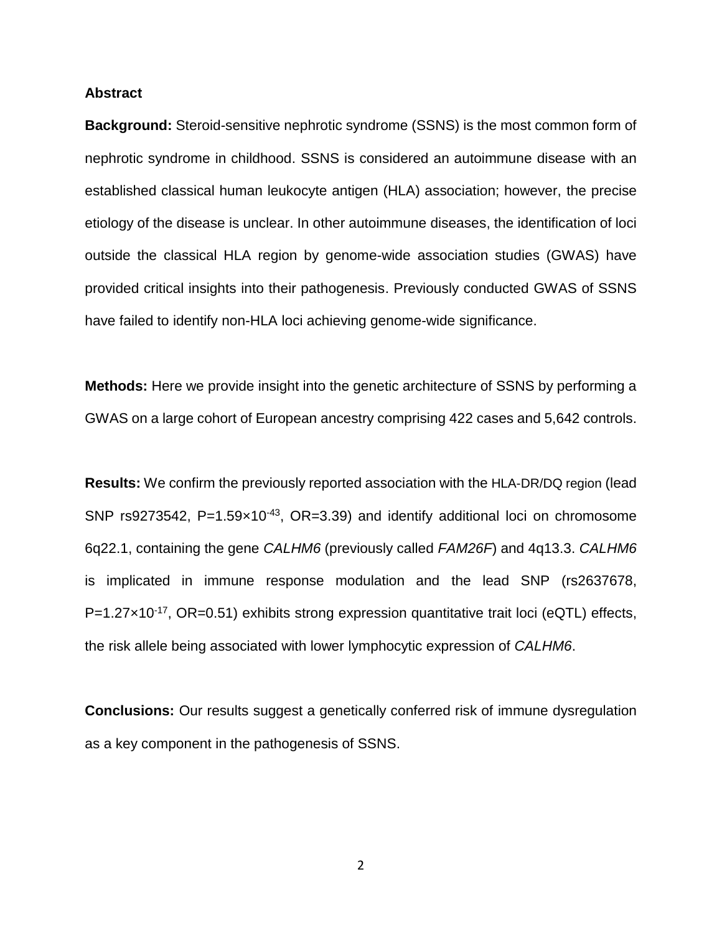#### **Abstract**

**Background:** Steroid-sensitive nephrotic syndrome (SSNS) is the most common form of nephrotic syndrome in childhood. SSNS is considered an autoimmune disease with an established classical human leukocyte antigen (HLA) association; however, the precise etiology of the disease is unclear. In other autoimmune diseases, the identification of loci outside the classical HLA region by genome-wide association studies (GWAS) have provided critical insights into their pathogenesis. Previously conducted GWAS of SSNS have failed to identify non-HLA loci achieving genome-wide significance.

**Methods:** Here we provide insight into the genetic architecture of SSNS by performing a GWAS on a large cohort of European ancestry comprising 422 cases and 5,642 controls.

**Results:** We confirm the previously reported association with the HLA-DR/DQ region (lead SNP rs9273542, P=1.59×10<sup>-43</sup>, OR=3.39) and identify additional loci on chromosome 6q22.1, containing the gene *CALHM6* (previously called *FAM26F*) and 4q13.3. *CALHM6* is implicated in immune response modulation and the lead SNP (rs2637678, P=1.27×10<sup>-17</sup>, OR=0.51) exhibits strong expression quantitative trait loci (eQTL) effects, the risk allele being associated with lower lymphocytic expression of *CALHM6*.

**Conclusions:** Our results suggest a genetically conferred risk of immune dysregulation as a key component in the pathogenesis of SSNS.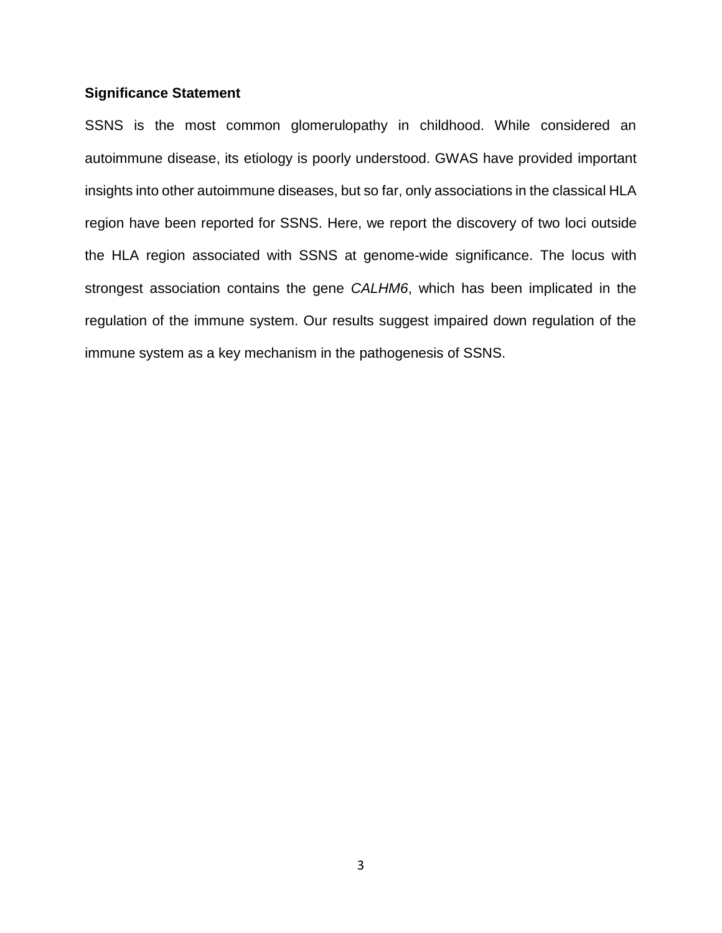### **Significance Statement**

SSNS is the most common glomerulopathy in childhood. While considered an autoimmune disease, its etiology is poorly understood. GWAS have provided important insights into other autoimmune diseases, but so far, only associations in the classical HLA region have been reported for SSNS. Here, we report the discovery of two loci outside the HLA region associated with SSNS at genome-wide significance. The locus with strongest association contains the gene *CALHM6*, which has been implicated in the regulation of the immune system. Our results suggest impaired down regulation of the immune system as a key mechanism in the pathogenesis of SSNS.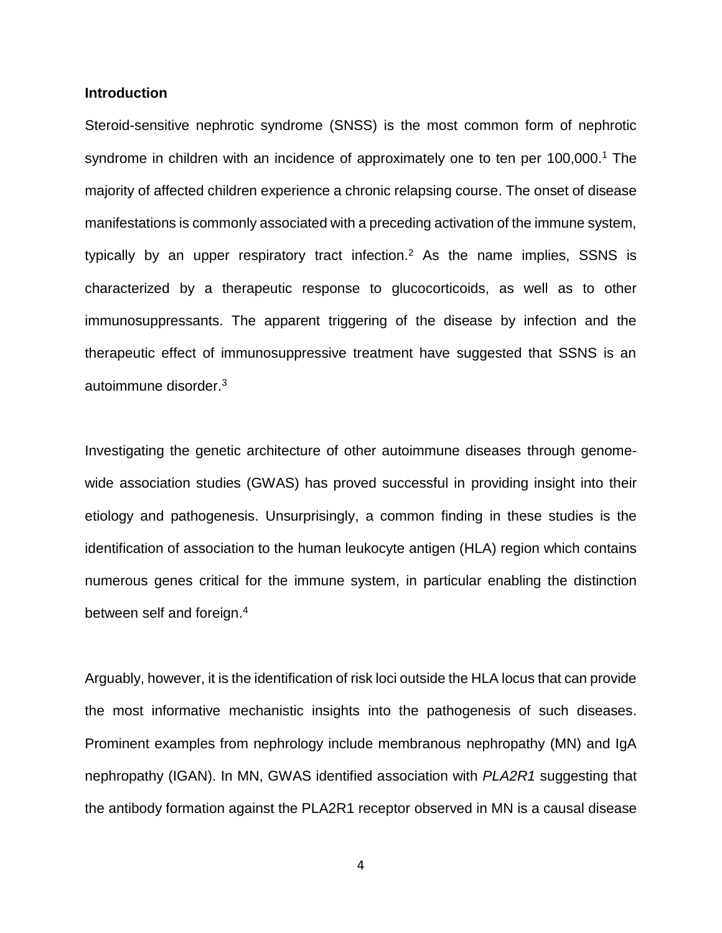#### **Introduction**

Steroid-sensitive nephrotic syndrome (SNSS) is the most common form of nephrotic syndrome in children with an incidence of approximately one to ten per 100,000.<sup>1</sup> The majority of affected children experience a chronic relapsing course. The onset of disease manifestations is commonly associated with a preceding activation of the immune system, typically by an upper respiratory tract infection.<sup>2</sup> As the name implies, SSNS is characterized by a therapeutic response to glucocorticoids, as well as to other immunosuppressants. The apparent triggering of the disease by infection and the therapeutic effect of immunosuppressive treatment have suggested that SSNS is an autoimmune disorder.<sup>3</sup>

Investigating the genetic architecture of other autoimmune diseases through genomewide association studies (GWAS) has proved successful in providing insight into their etiology and pathogenesis. Unsurprisingly, a common finding in these studies is the identification of association to the human leukocyte antigen (HLA) region which contains numerous genes critical for the immune system, in particular enabling the distinction between self and foreign. 4

Arguably, however, it is the identification of risk loci outside the HLA locus that can provide the most informative mechanistic insights into the pathogenesis of such diseases. Prominent examples from nephrology include membranous nephropathy (MN) and IgA nephropathy (IGAN). In MN, GWAS identified association with *PLA2R1* suggesting that the antibody formation against the PLA2R1 receptor observed in MN is a causal disease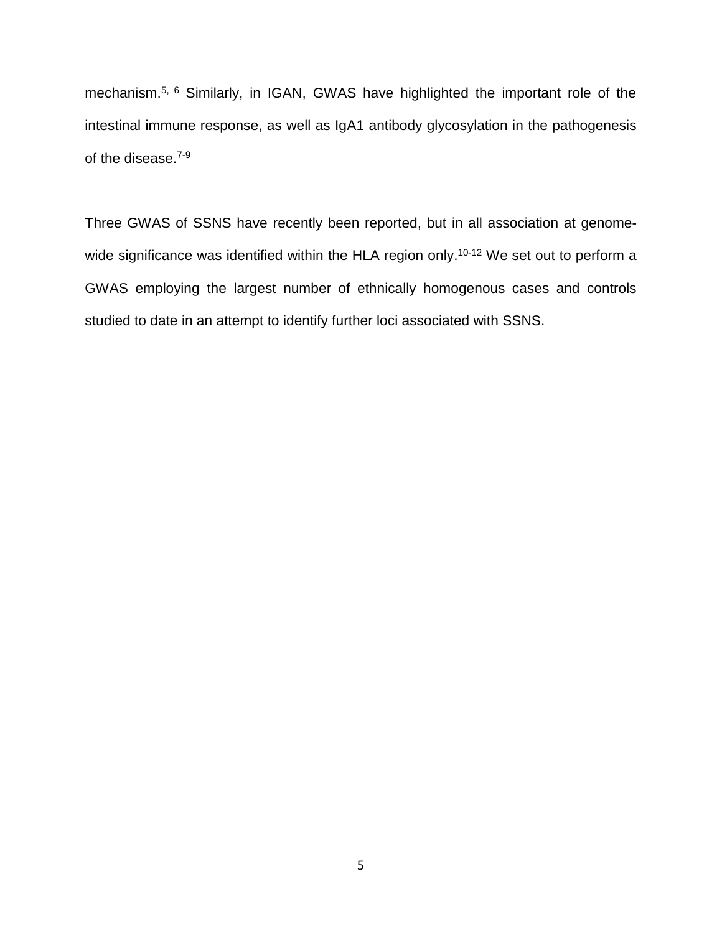mechanism.5, 6 Similarly, in IGAN, GWAS have highlighted the important role of the intestinal immune response, as well as IgA1 antibody glycosylation in the pathogenesis of the disease.<sup>7-9</sup>

Three GWAS of SSNS have recently been reported, but in all association at genomewide significance was identified within the HLA region only.<sup>10-12</sup> We set out to perform a GWAS employing the largest number of ethnically homogenous cases and controls studied to date in an attempt to identify further loci associated with SSNS.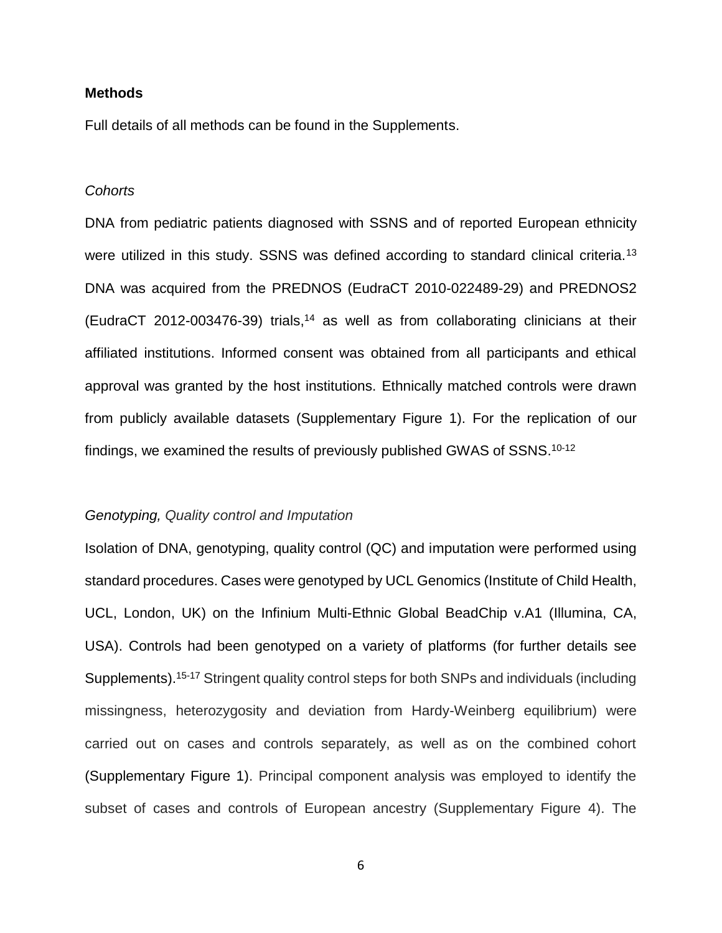#### **Methods**

Full details of all methods can be found in the Supplements.

#### *Cohorts*

DNA from pediatric patients diagnosed with SSNS and of reported European ethnicity were utilized in this study. SSNS was defined according to standard clinical criteria.<sup>13</sup> DNA was acquired from the PREDNOS (EudraCT 2010-022489-29) and PREDNOS2 (EudraCT 2012-003476-39) trials,<sup>14</sup> as well as from collaborating clinicians at their affiliated institutions. Informed consent was obtained from all participants and ethical approval was granted by the host institutions. Ethnically matched controls were drawn from publicly available datasets (Supplementary Figure 1). For the replication of our findings, we examined the results of previously published GWAS of SSNS.<sup>10-12</sup>

#### *Genotyping, Quality control and Imputation*

Isolation of DNA, genotyping, quality control (QC) and imputation were performed using standard procedures. Cases were genotyped by UCL Genomics (Institute of Child Health, UCL, London, UK) on the Infinium Multi-Ethnic Global BeadChip v.A1 (Illumina, CA, USA). Controls had been genotyped on a variety of platforms (for further details see Supplements).<sup>15-17</sup> Stringent quality control steps for both SNPs and individuals (including missingness, heterozygosity and deviation from Hardy-Weinberg equilibrium) were carried out on cases and controls separately, as well as on the combined cohort (Supplementary Figure 1). Principal component analysis was employed to identify the subset of cases and controls of European ancestry (Supplementary Figure 4). The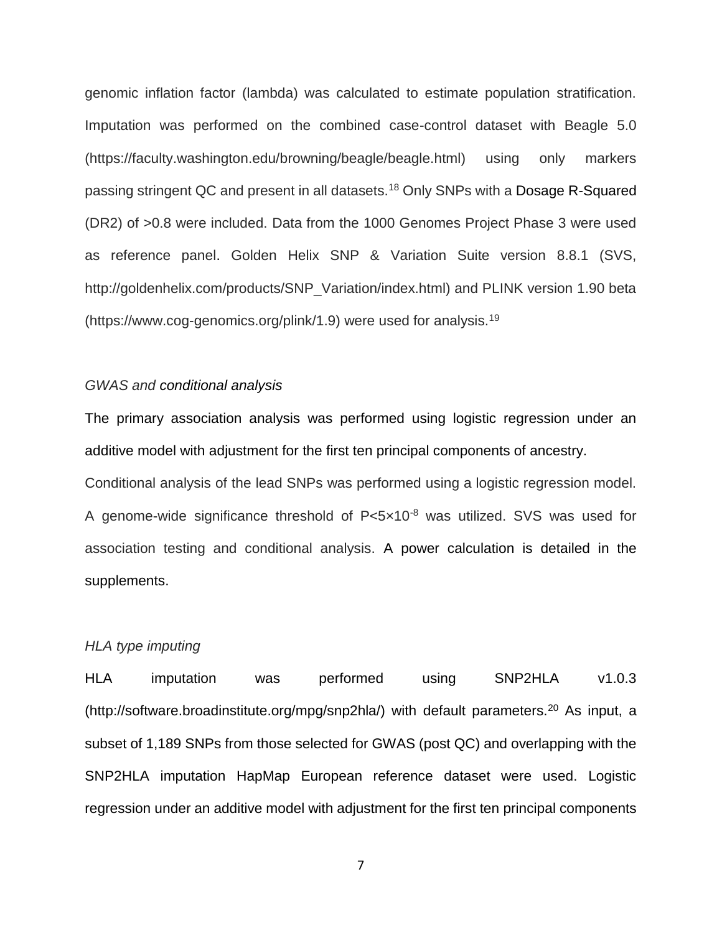genomic inflation factor (lambda) was calculated to estimate population stratification. Imputation was performed on the combined case-control dataset with Beagle 5.0 (https://faculty.washington.edu/browning/beagle/beagle.html) using only markers passing stringent QC and present in all datasets.<sup>18</sup> Only SNPs with a Dosage R-Squared (DR2) of >0.8 were included. Data from the 1000 Genomes Project Phase 3 were used as reference panel. Golden Helix SNP & Variation Suite version 8.8.1 (SVS, http://goldenhelix.com/products/SNP\_Variation/index.html) and PLINK version 1.90 beta (https://www.cog-genomics.org/plink/1.9) were used for analysis.<sup>19</sup>

#### *GWAS and conditional analysis*

The primary association analysis was performed using logistic regression under an additive model with adjustment for the first ten principal components of ancestry. Conditional analysis of the lead SNPs was performed using a logistic regression model. A genome-wide significance threshold of  $P<5\times10^{-8}$  was utilized. SVS was used for association testing and conditional analysis. A power calculation is detailed in the supplements.

#### *HLA type imputing*

HLA imputation was performed using SNP2HLA v1.0.3 (http://software.broadinstitute.org/mpg/snp2hla/) with default parameters.<sup>20</sup> As input, a subset of 1,189 SNPs from those selected for GWAS (post QC) and overlapping with the SNP2HLA imputation HapMap European reference dataset were used. Logistic regression under an additive model with adjustment for the first ten principal components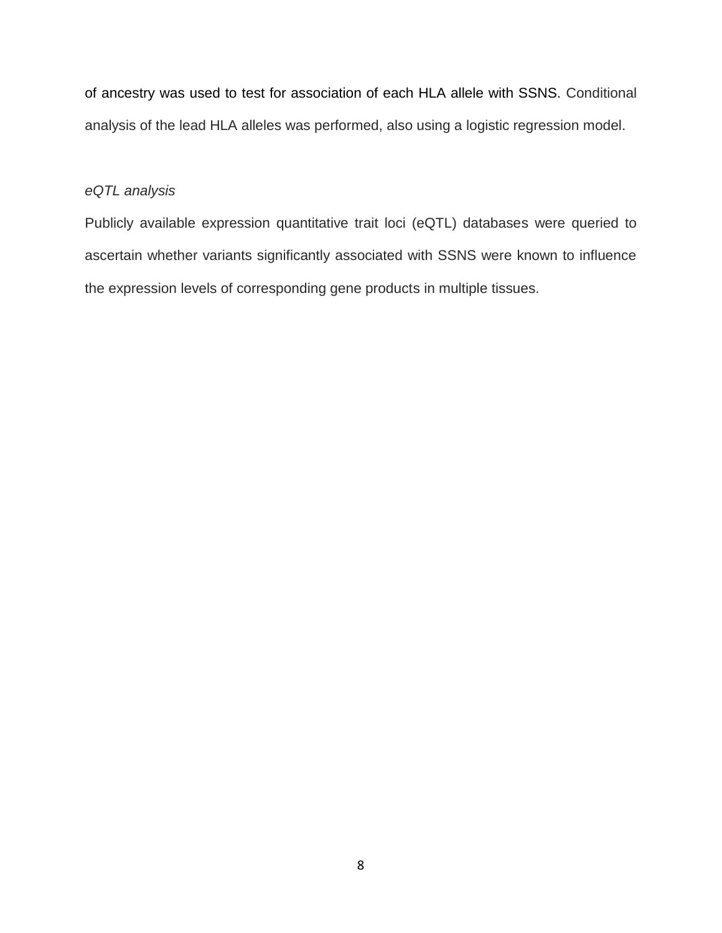of ancestry was used to test for association of each HLA allele with SSNS. Conditional analysis of the lead HLA alleles was performed, also using a logistic regression model.

#### *eQTL analysis*

Publicly available expression quantitative trait loci (eQTL) databases were queried to ascertain whether variants significantly associated with SSNS were known to influence the expression levels of corresponding gene products in multiple tissues.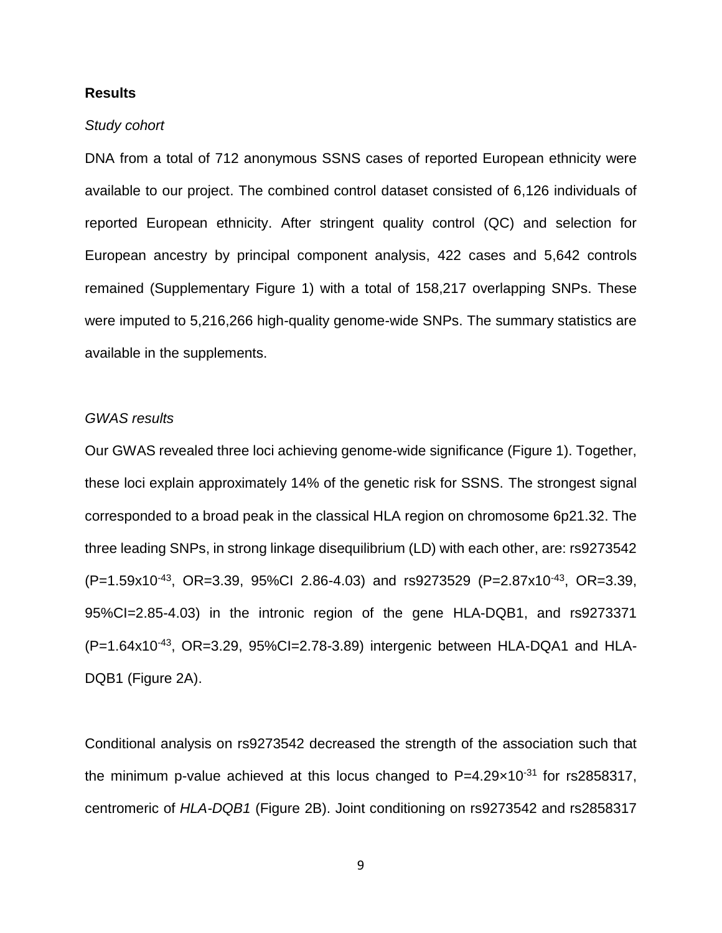### **Results**

#### *Study cohort*

DNA from a total of 712 anonymous SSNS cases of reported European ethnicity were available to our project. The combined control dataset consisted of 6,126 individuals of reported European ethnicity. After stringent quality control (QC) and selection for European ancestry by principal component analysis, 422 cases and 5,642 controls remained (Supplementary Figure 1) with a total of 158,217 overlapping SNPs. These were imputed to 5,216,266 high-quality genome-wide SNPs. The summary statistics are available in the supplements.

### *GWAS results*

Our GWAS revealed three loci achieving genome-wide significance (Figure 1). Together, these loci explain approximately 14% of the genetic risk for SSNS. The strongest signal corresponded to a broad peak in the classical HLA region on chromosome 6p21.32. The three leading SNPs, in strong linkage disequilibrium (LD) with each other, are: rs9273542  $(P=1.59x10^{-43}, \text{ OR} = 3.39, 95\% \text{Cl}$  2.86-4.03) and rs9273529  $(P=2.87x10^{-43}, \text{ OR} = 3.39,$ 95%CI=2.85-4.03) in the intronic region of the gene HLA-DQB1, and rs9273371 (P=1.64x10-43, OR=3.29, 95%CI=2.78-3.89) intergenic between HLA-DQA1 and HLA-DQB1 (Figure 2A).

Conditional analysis on rs9273542 decreased the strength of the association such that the minimum p-value achieved at this locus changed to  $P=4.29\times10^{-31}$  for rs2858317, centromeric of *HLA-DQB1* (Figure 2B). Joint conditioning on rs9273542 and rs2858317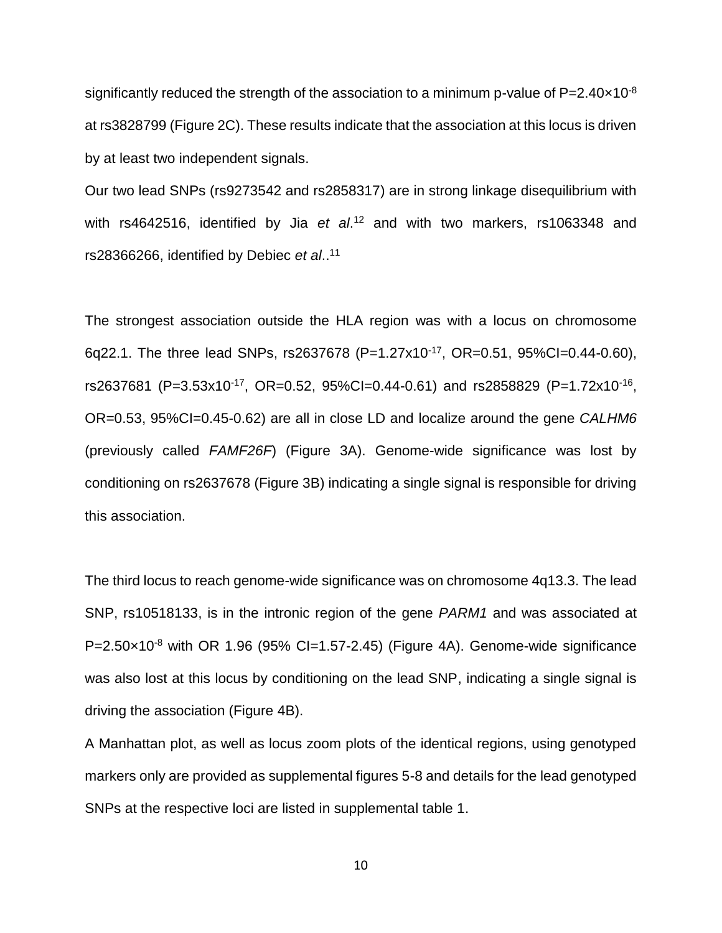significantly reduced the strength of the association to a minimum p-value of  $P=2.40\times10^{-8}$ at rs3828799 (Figure 2C). These results indicate that the association at this locus is driven by at least two independent signals.

Our two lead SNPs (rs9273542 and rs2858317) are in strong linkage disequilibrium with with rs4642516, identified by Jia *et al*. <sup>12</sup> and with two markers, rs1063348 and rs28366266, identified by Debiec *et al*.. 11

The strongest association outside the HLA region was with a locus on chromosome 6q22.1. The three lead SNPs, rs2637678 (P=1.27x10-17, OR=0.51, 95%CI=0.44-0.60), rs2637681 (P=3.53x10<sup>-17</sup>, OR=0.52, 95%Cl=0.44-0.61) and rs2858829 (P=1.72x10<sup>-16</sup>, OR=0.53, 95%CI=0.45-0.62) are all in close LD and localize around the gene *CALHM6* (previously called *FAMF26F*) (Figure 3A). Genome-wide significance was lost by conditioning on rs2637678 (Figure 3B) indicating a single signal is responsible for driving this association.

The third locus to reach genome-wide significance was on chromosome 4q13.3. The lead SNP, rs10518133, is in the intronic region of the gene *PARM1* and was associated at  $P=2.50\times10^{-8}$  with OR 1.96 (95% CI=1.57-2.45) (Figure 4A). Genome-wide significance was also lost at this locus by conditioning on the lead SNP, indicating a single signal is driving the association (Figure 4B).

A Manhattan plot, as well as locus zoom plots of the identical regions, using genotyped markers only are provided as supplemental figures 5-8 and details for the lead genotyped SNPs at the respective loci are listed in supplemental table 1.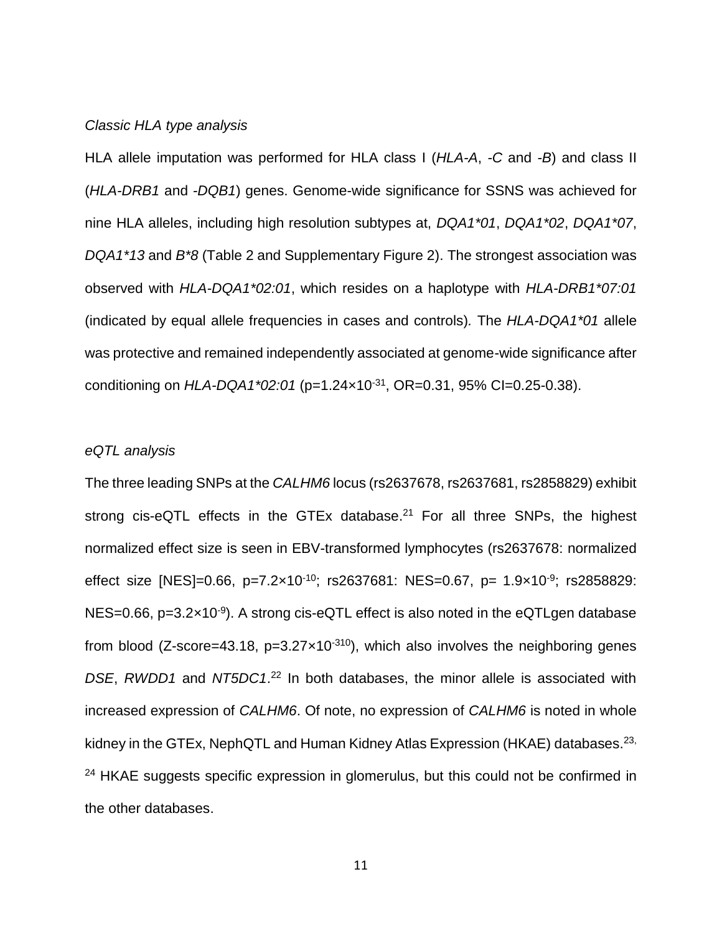## *Classic HLA type analysis*

HLA allele imputation was performed for HLA class I (*HLA-A*, *-C* and *-B*) and class II (*HLA-DRB1* and *-DQB1*) genes. Genome-wide significance for SSNS was achieved for nine HLA alleles, including high resolution subtypes at, *DQA1\*01*, *DQA1\*02*, *DQA1\*07*, *DQA1\*13* and *B\*8* (Table 2 and Supplementary Figure 2). The strongest association was observed with *HLA-DQA1\*02:01*, which resides on a haplotype with *HLA-DRB1\*07:01* (indicated by equal allele frequencies in cases and controls)*.* The *HLA-DQA1\*01* allele was protective and remained independently associated at genome-wide significance after conditioning on *HLA-DQA1\*02:01* (p=1.24×10-31, OR=0.31, 95% CI=0.25-0.38).

#### *eQTL analysis*

The three leading SNPs at the *CALHM6* locus (rs2637678, rs2637681, rs2858829) exhibit strong cis-eQTL effects in the GTEx database.<sup>21</sup> For all three SNPs, the highest normalized effect size is seen in EBV-transformed lymphocytes (rs2637678: normalized effect size [NES]=0.66, p=7.2×10<sup>-10</sup>; rs2637681: NES=0.67, p= 1.9×10<sup>-9</sup>; rs2858829: NES=0.66, p=3.2×10<sup>-9</sup>). A strong cis-eQTL effect is also noted in the eQTLgen database from blood (Z-score=43.18,  $p=3.27\times10^{-310}$ ), which also involves the neighboring genes *DSE*, *RWDD1* and *NT5DC1*. <sup>22</sup> In both databases, the minor allele is associated with increased expression of *CALHM6*. Of note, no expression of *CALHM6* is noted in whole kidney in the GTEx, NephQTL and Human Kidney Atlas Expression (HKAE) databases.<sup>23,</sup> <sup>24</sup> HKAE suggests specific expression in glomerulus, but this could not be confirmed in the other databases.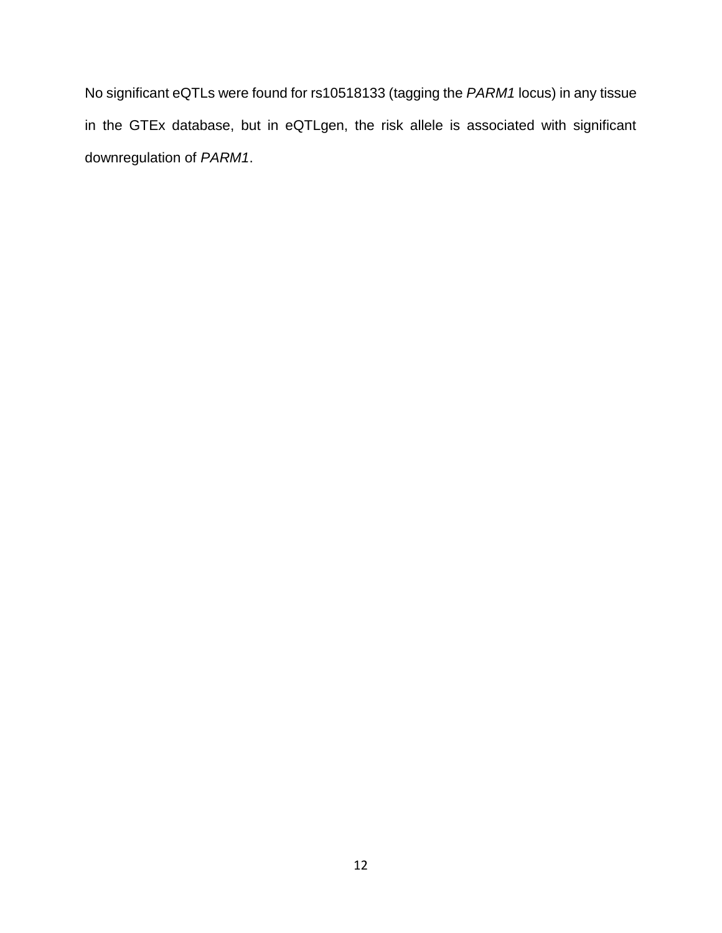No significant eQTLs were found for rs10518133 (tagging the *PARM1* locus) in any tissue in the GTEx database, but in eQTLgen, the risk allele is associated with significant downregulation of *PARM1*.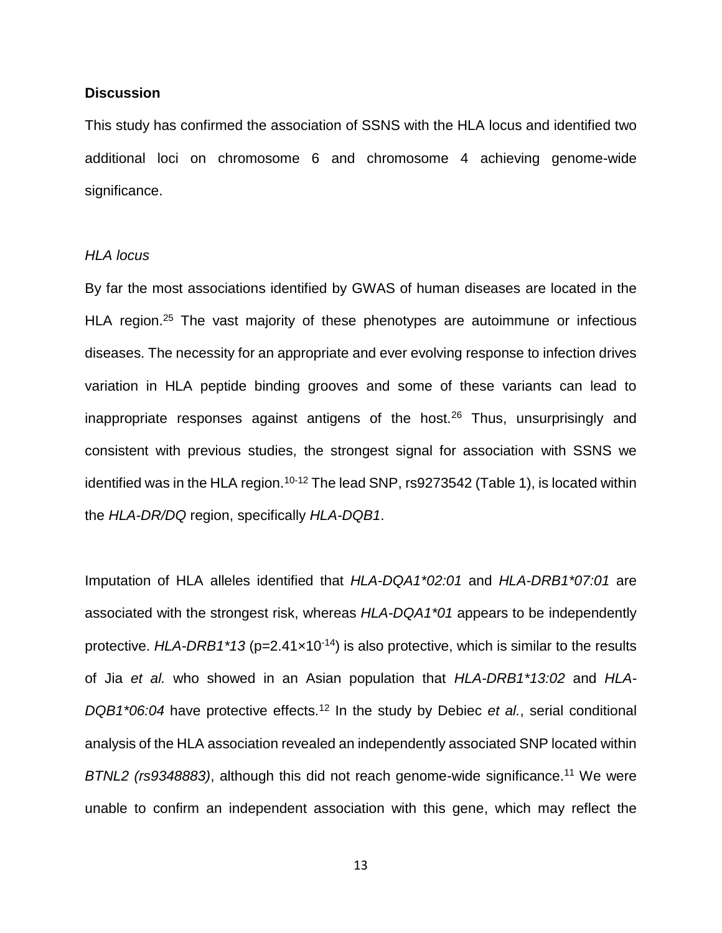#### **Discussion**

This study has confirmed the association of SSNS with the HLA locus and identified two additional loci on chromosome 6 and chromosome 4 achieving genome-wide significance.

### *HLA locus*

By far the most associations identified by GWAS of human diseases are located in the HLA region.<sup>25</sup> The vast majority of these phenotypes are autoimmune or infectious diseases. The necessity for an appropriate and ever evolving response to infection drives variation in HLA peptide binding grooves and some of these variants can lead to inappropriate responses against antigens of the host.<sup>26</sup> Thus, unsurprisingly and consistent with previous studies, the strongest signal for association with SSNS we identified was in the HLA region.<sup>10-12</sup> The lead SNP, rs9273542 (Table 1), is located within the *HLA-DR/DQ* region, specifically *HLA-DQB1*.

Imputation of HLA alleles identified that *HLA-DQA1\*02:01* and *HLA-DRB1\*07:01* are associated with the strongest risk, whereas *HLA-DQA1\*01* appears to be independently protective. *HLA-DRB1\*13* (p=2.41×10<sup>-14</sup>) is also protective, which is similar to the results of Jia *et al.* who showed in an Asian population that *HLA-DRB1\*13:02* and *HLA-DQB1\*06:04* have protective effects.<sup>12</sup> In the study by Debiec *et al.*, serial conditional analysis of the HLA association revealed an independently associated SNP located within *BTNL2 (rs9348883)*, although this did not reach genome-wide significance. <sup>11</sup> We were unable to confirm an independent association with this gene, which may reflect the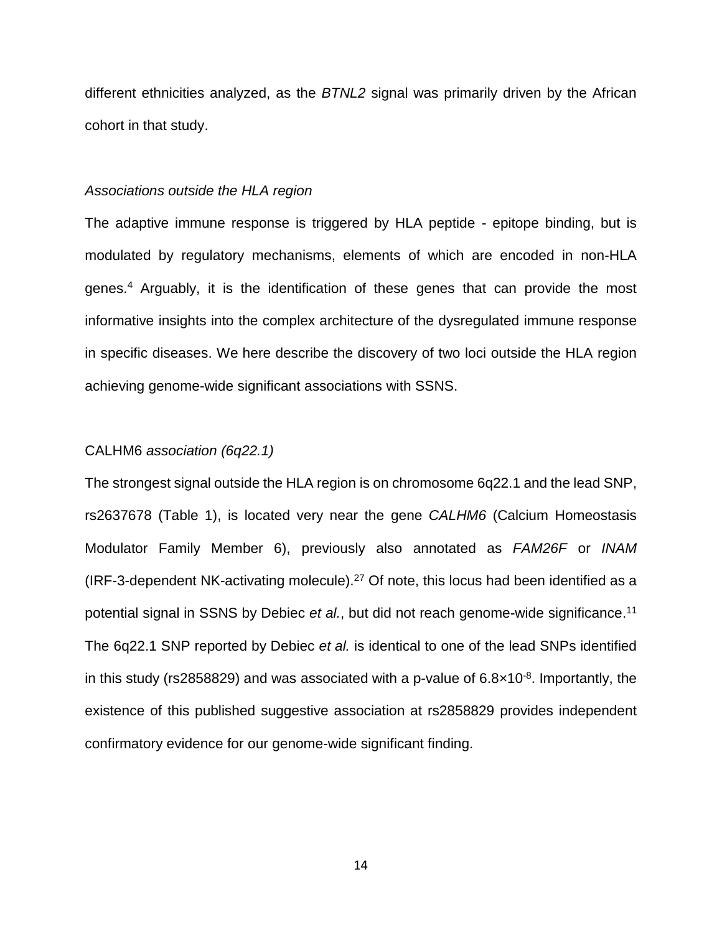different ethnicities analyzed, as the *BTNL2* signal was primarily driven by the African cohort in that study.

#### *Associations outside the HLA region*

The adaptive immune response is triggered by HLA peptide - epitope binding, but is modulated by regulatory mechanisms, elements of which are encoded in non-HLA genes. <sup>4</sup> Arguably, it is the identification of these genes that can provide the most informative insights into the complex architecture of the dysregulated immune response in specific diseases. We here describe the discovery of two loci outside the HLA region achieving genome-wide significant associations with SSNS.

#### CALHM6 *association (6q22.1)*

The strongest signal outside the HLA region is on chromosome 6q22.1 and the lead SNP, rs2637678 (Table 1), is located very near the gene *CALHM6* (Calcium Homeostasis Modulator Family Member 6), previously also annotated as *FAM26F* or *INAM* (IRF-3-dependent NK-activating molecule).<sup>27</sup> Of note, this locus had been identified as a potential signal in SSNS by Debiec *et al.*, but did not reach genome-wide significance. 11 The 6q22.1 SNP reported by Debiec *et al.* is identical to one of the lead SNPs identified in this study (rs2858829) and was associated with a p-value of  $6.8 \times 10^{-8}$ . Importantly, the existence of this published suggestive association at rs2858829 provides independent confirmatory evidence for our genome-wide significant finding.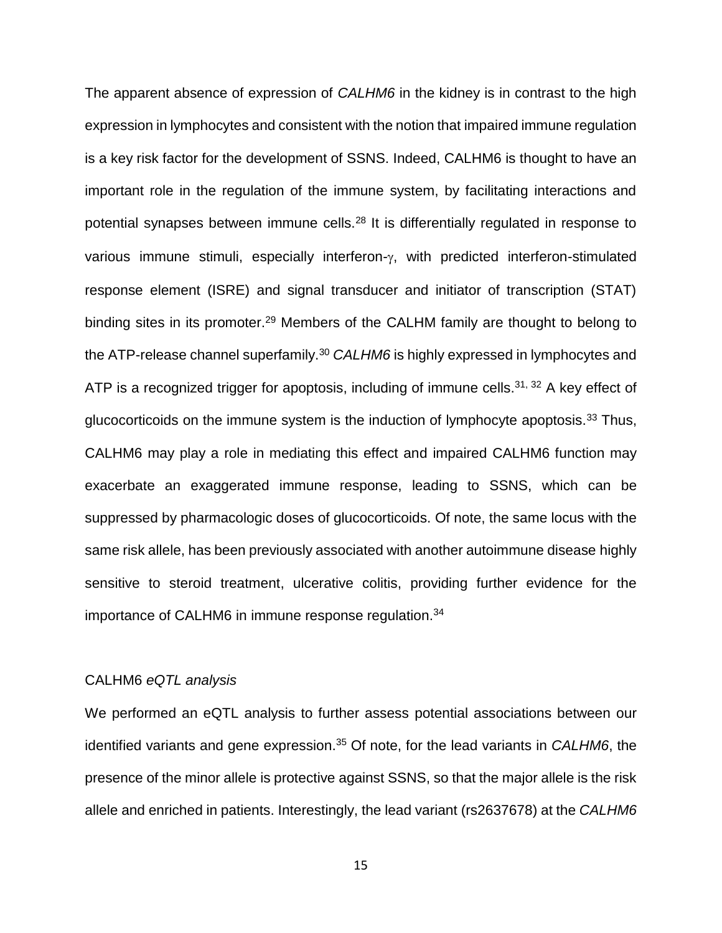The apparent absence of expression of *CALHM6* in the kidney is in contrast to the high expression in lymphocytes and consistent with the notion that impaired immune regulation is a key risk factor for the development of SSNS. Indeed, CALHM6 is thought to have an important role in the regulation of the immune system, by facilitating interactions and potential synapses between immune cells.<sup>28</sup> It is differentially regulated in response to various immune stimuli, especially interferon- $\gamma$ , with predicted interferon-stimulated response element (ISRE) and signal transducer and initiator of transcription (STAT) binding sites in its promoter.<sup>29</sup> Members of the CALHM family are thought to belong to the ATP-release channel superfamily.<sup>30</sup> CALHM6 is highly expressed in lymphocytes and ATP is a recognized trigger for apoptosis, including of immune cells.<sup>31, 32</sup> A key effect of glucocorticoids on the immune system is the induction of lymphocyte apoptosis.<sup>33</sup> Thus, CALHM6 may play a role in mediating this effect and impaired CALHM6 function may exacerbate an exaggerated immune response, leading to SSNS, which can be suppressed by pharmacologic doses of glucocorticoids. Of note, the same locus with the same risk allele, has been previously associated with another autoimmune disease highly sensitive to steroid treatment, ulcerative colitis, providing further evidence for the importance of CALHM6 in immune response regulation.<sup>34</sup>

# CALHM6 *eQTL analysis*

We performed an eQTL analysis to further assess potential associations between our identified variants and gene expression.<sup>35</sup> Of note, for the lead variants in *CALHM6*, the presence of the minor allele is protective against SSNS, so that the major allele is the risk allele and enriched in patients. Interestingly, the lead variant (rs2637678) at the *CALHM6*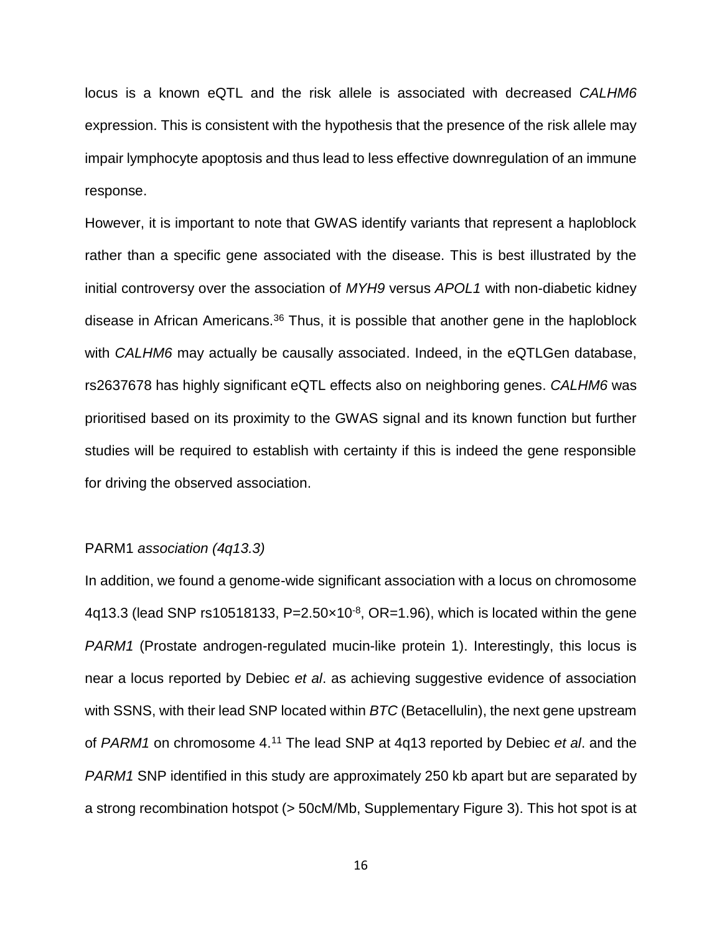locus is a known eQTL and the risk allele is associated with decreased *CALHM6* expression. This is consistent with the hypothesis that the presence of the risk allele may impair lymphocyte apoptosis and thus lead to less effective downregulation of an immune response.

However, it is important to note that GWAS identify variants that represent a haploblock rather than a specific gene associated with the disease. This is best illustrated by the initial controversy over the association of *MYH9* versus *APOL1* with non-diabetic kidney disease in African Americans.<sup>36</sup> Thus, it is possible that another gene in the haploblock with *CALHM6* may actually be causally associated. Indeed, in the eQTLGen database, rs2637678 has highly significant eQTL effects also on neighboring genes. *CALHM6* was prioritised based on its proximity to the GWAS signal and its known function but further studies will be required to establish with certainty if this is indeed the gene responsible for driving the observed association.

#### PARM1 *association (4q13.3)*

In addition, we found a genome-wide significant association with a locus on chromosome 4q13.3 (lead SNP rs10518133, P= $2.50 \times 10^{-8}$ , OR=1.96), which is located within the gene *PARM1* (Prostate androgen-regulated mucin-like protein 1). Interestingly, this locus is near a locus reported by Debiec *et al*. as achieving suggestive evidence of association with SSNS, with their lead SNP located within *BTC* (Betacellulin), the next gene upstream of *PARM1* on chromosome 4.<sup>11</sup> The lead SNP at 4q13 reported by Debiec *et al*. and the *PARM1* SNP identified in this study are approximately 250 kb apart but are separated by a strong recombination hotspot (> 50cM/Mb, Supplementary Figure 3). This hot spot is at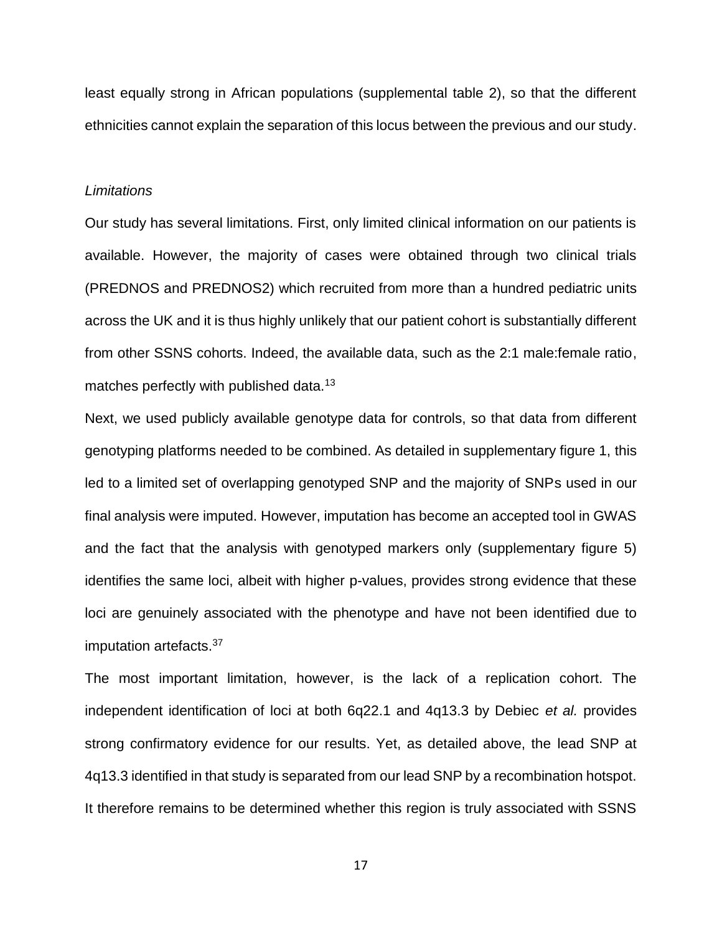least equally strong in African populations (supplemental table 2), so that the different ethnicities cannot explain the separation of this locus between the previous and our study.

#### *Limitations*

Our study has several limitations. First, only limited clinical information on our patients is available. However, the majority of cases were obtained through two clinical trials (PREDNOS and PREDNOS2) which recruited from more than a hundred pediatric units across the UK and it is thus highly unlikely that our patient cohort is substantially different from other SSNS cohorts. Indeed, the available data, such as the 2:1 male:female ratio, matches perfectly with published data.<sup>13</sup>

Next, we used publicly available genotype data for controls, so that data from different genotyping platforms needed to be combined. As detailed in supplementary figure 1, this led to a limited set of overlapping genotyped SNP and the majority of SNPs used in our final analysis were imputed. However, imputation has become an accepted tool in GWAS and the fact that the analysis with genotyped markers only (supplementary figure 5) identifies the same loci, albeit with higher p-values, provides strong evidence that these loci are genuinely associated with the phenotype and have not been identified due to imputation artefacts.<sup>37</sup>

The most important limitation, however, is the lack of a replication cohort. The independent identification of loci at both 6q22.1 and 4q13.3 by Debiec *et al.* provides strong confirmatory evidence for our results. Yet, as detailed above, the lead SNP at 4q13.3 identified in that study is separated from our lead SNP by a recombination hotspot. It therefore remains to be determined whether this region is truly associated with SSNS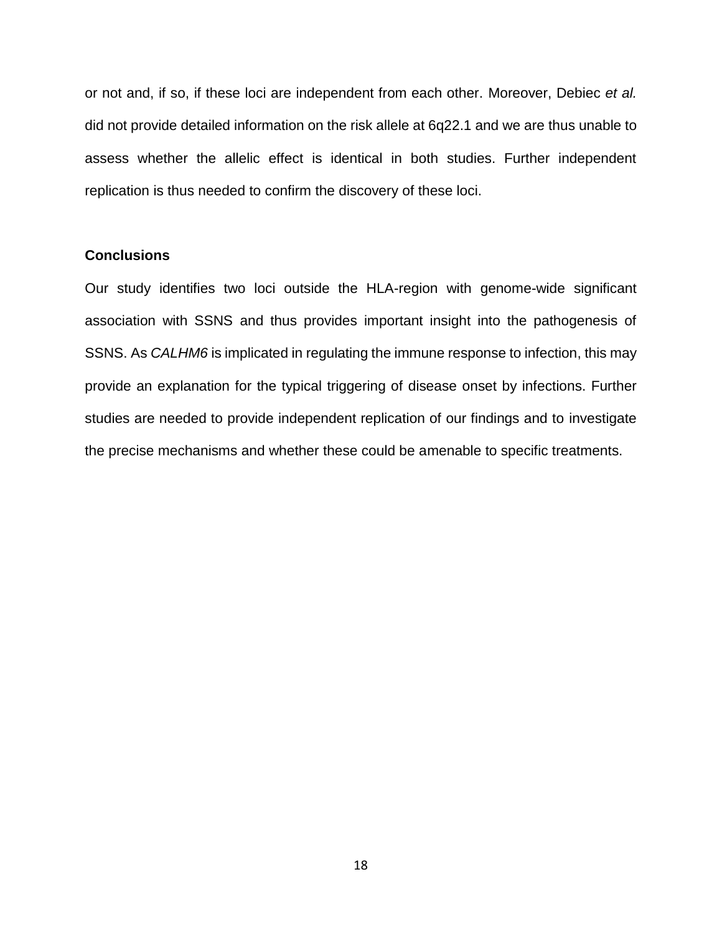or not and, if so, if these loci are independent from each other. Moreover, Debiec *et al.* did not provide detailed information on the risk allele at 6q22.1 and we are thus unable to assess whether the allelic effect is identical in both studies. Further independent replication is thus needed to confirm the discovery of these loci.

### **Conclusions**

Our study identifies two loci outside the HLA-region with genome-wide significant association with SSNS and thus provides important insight into the pathogenesis of SSNS. As *CALHM6* is implicated in regulating the immune response to infection, this may provide an explanation for the typical triggering of disease onset by infections. Further studies are needed to provide independent replication of our findings and to investigate the precise mechanisms and whether these could be amenable to specific treatments.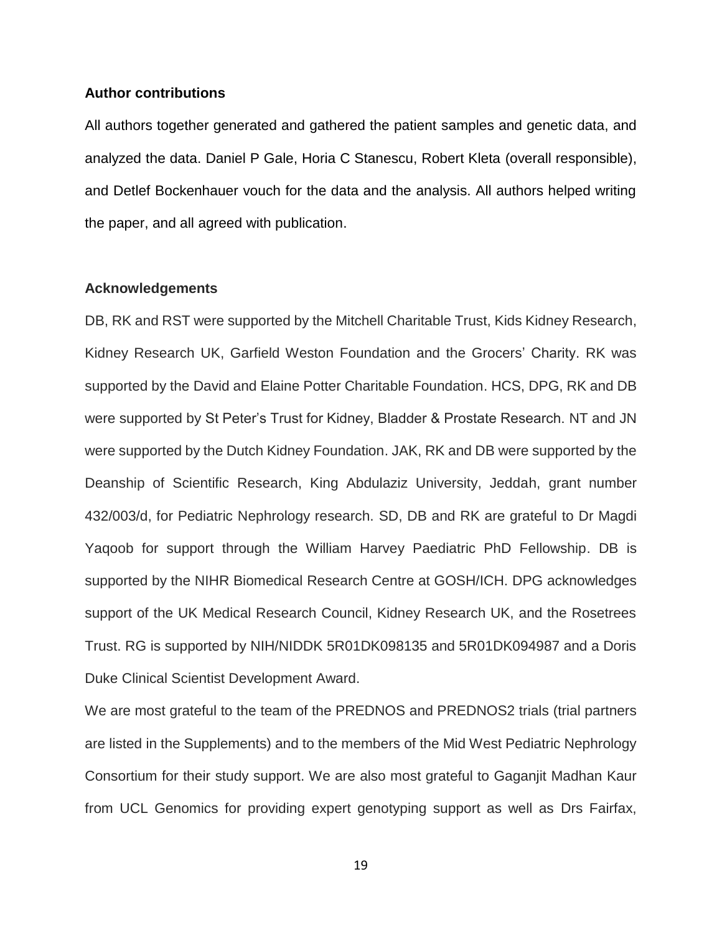#### **Author contributions**

All authors together generated and gathered the patient samples and genetic data, and analyzed the data. Daniel P Gale, Horia C Stanescu, Robert Kleta (overall responsible), and Detlef Bockenhauer vouch for the data and the analysis. All authors helped writing the paper, and all agreed with publication.

#### **Acknowledgements**

DB, RK and RST were supported by the Mitchell Charitable Trust, Kids Kidney Research, Kidney Research UK, Garfield Weston Foundation and the Grocers' Charity. RK was supported by the David and Elaine Potter Charitable Foundation. HCS, DPG, RK and DB were supported by St Peter's Trust for Kidney, Bladder & Prostate Research. NT and JN were supported by the Dutch Kidney Foundation. JAK, RK and DB were supported by the Deanship of Scientific Research, King Abdulaziz University, Jeddah, grant number 432/003/d, for Pediatric Nephrology research. SD, DB and RK are grateful to Dr Magdi Yaqoob for support through the William Harvey Paediatric PhD Fellowship. DB is supported by the NIHR Biomedical Research Centre at GOSH/ICH. DPG acknowledges support of the UK Medical Research Council, Kidney Research UK, and the Rosetrees Trust. RG is supported by NIH/NIDDK 5R01DK098135 and 5R01DK094987 and a Doris Duke Clinical Scientist Development Award.

We are most grateful to the team of the PREDNOS and PREDNOS2 trials (trial partners are listed in the Supplements) and to the members of the Mid West Pediatric Nephrology Consortium for their study support. We are also most grateful to Gaganjit Madhan Kaur from UCL Genomics for providing expert genotyping support as well as Drs Fairfax,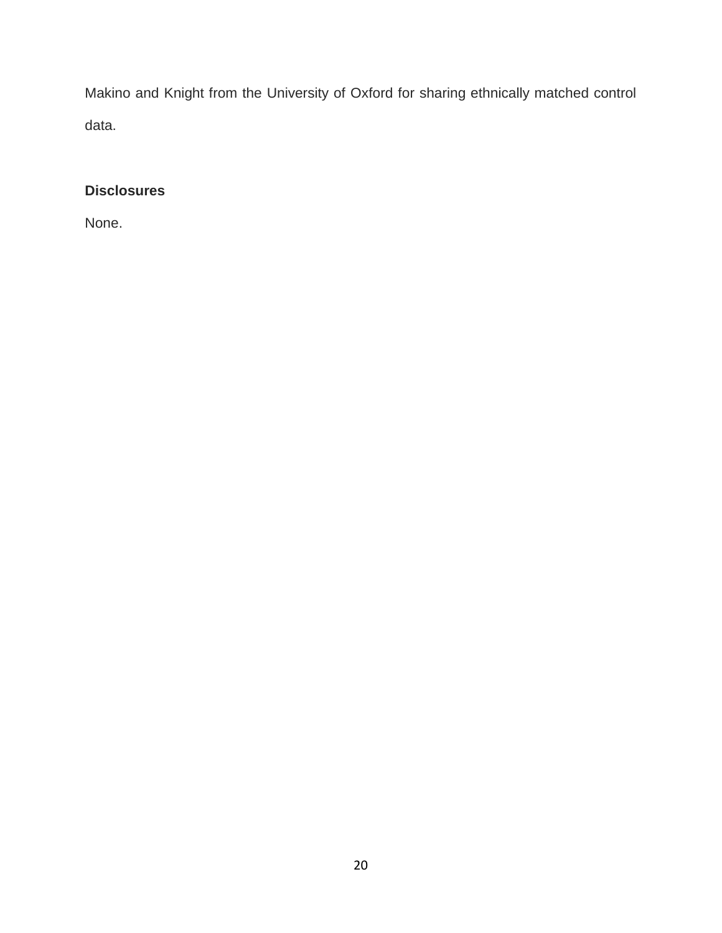Makino and Knight from the University of Oxford for sharing ethnically matched control data.

# **Disclosures**

None.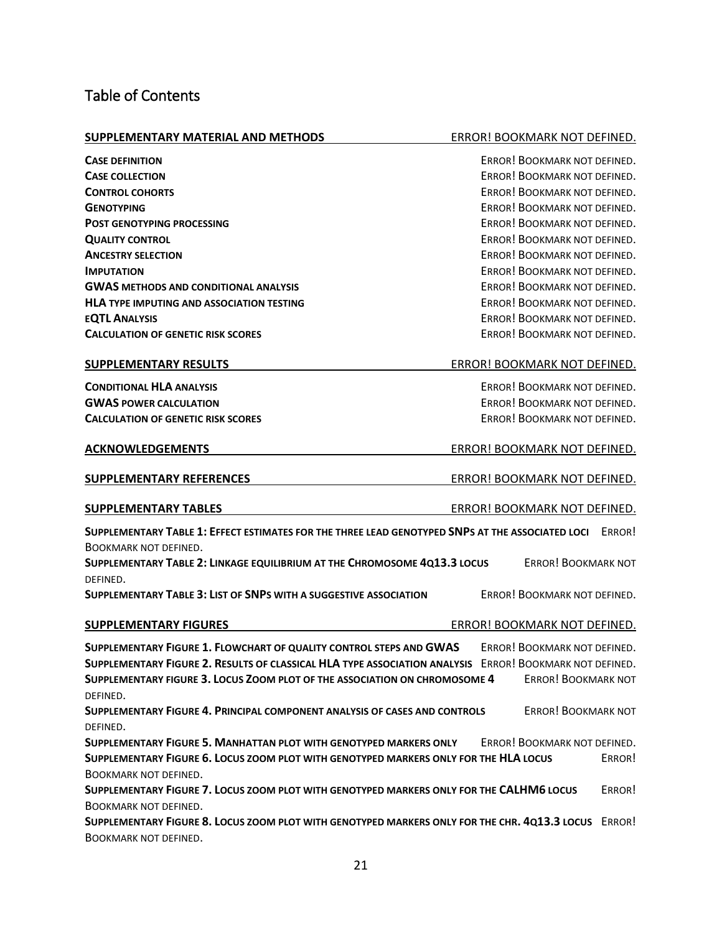# Table of Contents

#### **SUPPLEMENTARY MATERIAL AND METHODS** ERROR! BOOKMARK NOT DEFINED.

**CASE DEFINITION** ERROR! BOOKMARK NOT DEFINED. **CASE COLLECTION CASE COLLECTION ERROR!** BOOKMARK NOT DEFINED. **CONTROL COHORTS CONTROL COHORTS ERROR! ERROR!** BOOKMARK NOT DEFINED. **GENOTYPING EXPLORED. EXPLORED EXPLORED. EXPLORED. EXPLORED. EXPLORED. EXPLORED. EXPLORED. POST GENOTYPING PROCESSING EXAMPLE 2008 THE STATE OF STATE AND REALLY SERVICE BOOKMARK NOT DEFINED. QUALITY CONTROL EXAMPLE EXAMPLE 20 AND EXAMPLE 20 AND EXAMPLE EXAMPLE ERROR! BOOKMARK NOT DEFINED. ANCESTRY SELECTION EXAMPLE 2008 THE SELECTION ERROR!** BOOKMARK NOT DEFINED. **IMPUTATION** ERROR! BOOKMARK NOT DEFINED. **GWAS METHODS AND CONDITIONAL ANALYSIS ERROR!** BOOKMARK NOT DEFINED. **HLA** TYPE IMPUTING AND ASSOCIATION TESTING **EXAMPLE AND ASSOCIATION** TESTING **EQTL ANALYSIS** ERROR! BOOKMARK NOT DEFINED. **CALCULATION OF GENETIC RISK SCORES EXPLOSITION OF GENETIC RISK SCORES** 

| <b>CONDITIONAL HLA ANALYSIS</b>           |
|-------------------------------------------|
| <b>GWAS POWER CALCULATION</b>             |
| <b>CALCULATION OF GENETIC RISK SCORES</b> |

#### **SUPPLEMENTARY RESULTS** THE RESULT BOOKMARK NOT DEFINED.

**ERROR! BOOKMARK NOT DEFINED. ERROR! BOOKMARK NOT DEFINED. ERROR! BOOKMARK NOT DEFINED.** 

#### **ACKNOWLEDGEMENTS ERROR! BOOKMARK NOT DEFINED.**

### **SUPPLEMENTARY REFERENCES** EXAMPLE THE REFORMARK NOT DEFINED.

#### **SUPPLEMENTARY TABLES** ERROR! BOOKMARK NOT DEFINED.

**SUPPLEMENTARY TABLE 1: EFFECT ESTIMATES FOR THE THREE LEAD GENOTYPED SNPS AT THE ASSOCIATED LOCI** ERROR!

# BOOKMARK NOT DEFINED.

**SUPPLEMENTARY TABLE 2: LINKAGE EQUILIBRIUM AT THE CHROMOSOME 4Q13.3 LOCUS** ERROR! BOOKMARK NOT DEFINED.

**SUPPLEMENTARY TABLE 3: LIST OF SNPS WITH A SUGGESTIVE ASSOCIATION** ERROR! BOOKMARK NOT DEFINED.

#### **SUPPLEMENTARY FIGURES** ERROR! BOOKMARK NOT DEFINED.

**SUPPLEMENTARY FIGURE 1. FLOWCHART OF QUALITY CONTROL STEPS AND GWAS** ERROR! BOOKMARK NOT DEFINED. **SUPPLEMENTARY FIGURE 2. RESULTS OF CLASSICAL HLA TYPE ASSOCIATION ANALYSIS** ERROR! BOOKMARK NOT DEFINED. **SUPPLEMENTARY FIGURE 3. LOCUS ZOOM PLOT OF THE ASSOCIATION ON CHROMOSOME 4** ERROR! BOOKMARK NOT DEFINED.

**SUPPLEMENTARY FIGURE 4. PRINCIPAL COMPONENT ANALYSIS OF CASES AND CONTROLS** ERROR! BOOKMARK NOT DEFINED.

**SUPPLEMENTARY FIGURE 5. MANHATTAN PLOT WITH GENOTYPED MARKERS ONLY** ERROR! BOOKMARK NOT DEFINED. **SUPPLEMENTARY FIGURE 6. LOCUS ZOOM PLOT WITH GENOTYPED MARKERS ONLY FOR THE HLA LOCUS** ERROR! BOOKMARK NOT DEFINED.

**SUPPLEMENTARY FIGURE 7. LOCUS ZOOM PLOT WITH GENOTYPED MARKERS ONLY FOR THE CALHM6 LOCUS** ERROR! BOOKMARK NOT DEFINED.

**SUPPLEMENTARY FIGURE 8. LOCUS ZOOM PLOT WITH GENOTYPED MARKERS ONLY FOR THE CHR. 4Q13.3 LOCUS** ERROR! BOOKMARK NOT DEFINED.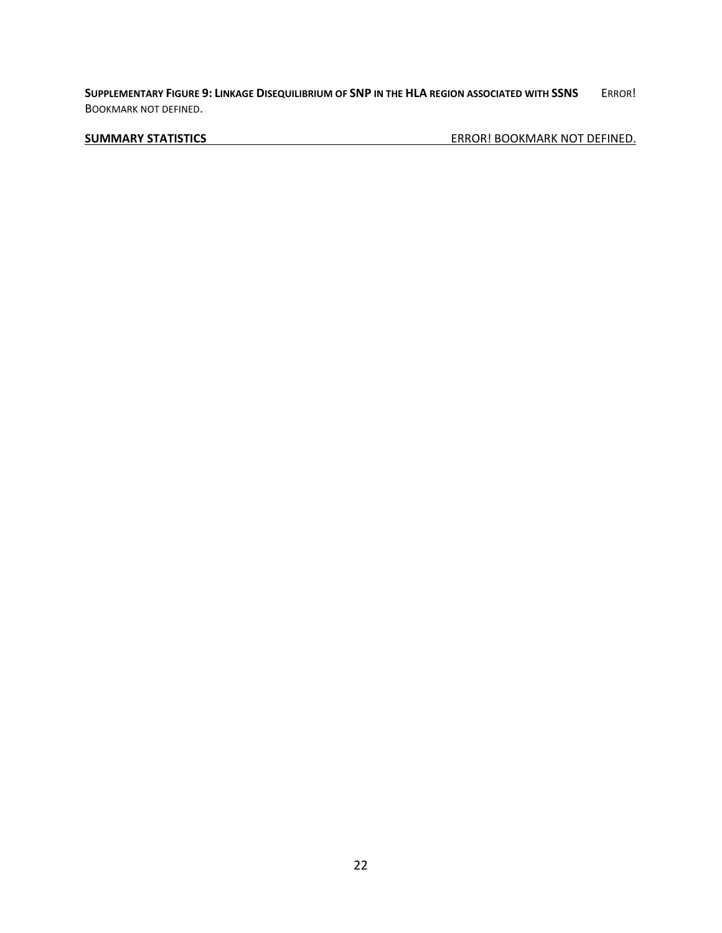**SUPPLEMENTARY FIGURE 9: LINKAGE DISEQUILIBRIUM OF SNP IN THE HLA REGION ASSOCIATED WITH SSNS** ERROR! BOOKMARK NOT DEFINED.

**SUMMARY STATISTICS** ERROR! BOOKMARK NOT DEFINED.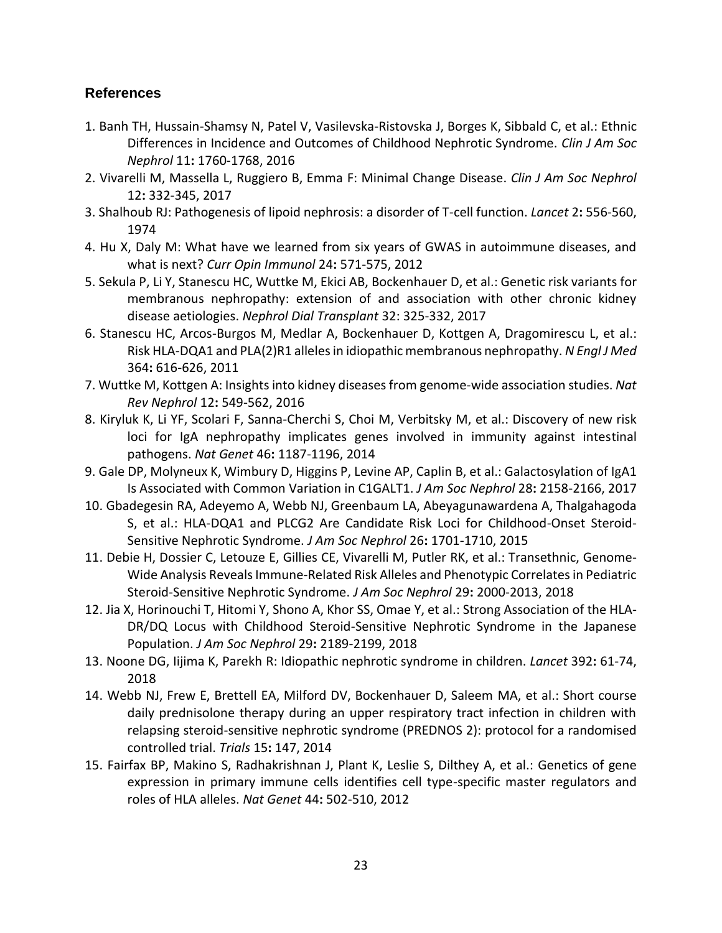# **References**

- 1. Banh TH, Hussain-Shamsy N, Patel V, Vasilevska-Ristovska J, Borges K, Sibbald C, et al.: Ethnic Differences in Incidence and Outcomes of Childhood Nephrotic Syndrome. *Clin J Am Soc Nephrol* 11**:** 1760-1768, 2016
- 2. Vivarelli M, Massella L, Ruggiero B, Emma F: Minimal Change Disease. *Clin J Am Soc Nephrol* 12**:** 332-345, 2017
- 3. Shalhoub RJ: Pathogenesis of lipoid nephrosis: a disorder of T-cell function. *Lancet* 2**:** 556-560, 1974
- 4. Hu X, Daly M: What have we learned from six years of GWAS in autoimmune diseases, and what is next? *Curr Opin Immunol* 24**:** 571-575, 2012
- 5. Sekula P, Li Y, Stanescu HC, Wuttke M, Ekici AB, Bockenhauer D, et al.: Genetic risk variants for membranous nephropathy: extension of and association with other chronic kidney disease aetiologies. *Nephrol Dial Transplant* 32: 325-332, 2017
- 6. Stanescu HC, Arcos-Burgos M, Medlar A, Bockenhauer D, Kottgen A, Dragomirescu L, et al.: Risk HLA-DQA1 and PLA(2)R1 alleles in idiopathic membranous nephropathy. *N Engl J Med* 364**:** 616-626, 2011
- 7. Wuttke M, Kottgen A: Insights into kidney diseases from genome-wide association studies. *Nat Rev Nephrol* 12**:** 549-562, 2016
- 8. Kiryluk K, Li YF, Scolari F, Sanna-Cherchi S, Choi M, Verbitsky M, et al.: Discovery of new risk loci for IgA nephropathy implicates genes involved in immunity against intestinal pathogens. *Nat Genet* 46**:** 1187-1196, 2014
- 9. Gale DP, Molyneux K, Wimbury D, Higgins P, Levine AP, Caplin B, et al.: Galactosylation of IgA1 Is Associated with Common Variation in C1GALT1. *J Am Soc Nephrol* 28**:** 2158-2166, 2017
- 10. Gbadegesin RA, Adeyemo A, Webb NJ, Greenbaum LA, Abeyagunawardena A, Thalgahagoda S, et al.: HLA-DQA1 and PLCG2 Are Candidate Risk Loci for Childhood-Onset Steroid-Sensitive Nephrotic Syndrome. *J Am Soc Nephrol* 26**:** 1701-1710, 2015
- 11. Debie H, Dossier C, Letouze E, Gillies CE, Vivarelli M, Putler RK, et al.: Transethnic, Genome-Wide Analysis Reveals Immune-Related Risk Alleles and Phenotypic Correlates in Pediatric Steroid-Sensitive Nephrotic Syndrome. *J Am Soc Nephrol* 29**:** 2000-2013, 2018
- 12. Jia X, Horinouchi T, Hitomi Y, Shono A, Khor SS, Omae Y, et al.: Strong Association of the HLA-DR/DQ Locus with Childhood Steroid-Sensitive Nephrotic Syndrome in the Japanese Population. *J Am Soc Nephrol* 29**:** 2189-2199, 2018
- 13. Noone DG, Iijima K, Parekh R: Idiopathic nephrotic syndrome in children. *Lancet* 392**:** 61-74, 2018
- 14. Webb NJ, Frew E, Brettell EA, Milford DV, Bockenhauer D, Saleem MA, et al.: Short course daily prednisolone therapy during an upper respiratory tract infection in children with relapsing steroid-sensitive nephrotic syndrome (PREDNOS 2): protocol for a randomised controlled trial. *Trials* 15**:** 147, 2014
- 15. Fairfax BP, Makino S, Radhakrishnan J, Plant K, Leslie S, Dilthey A, et al.: Genetics of gene expression in primary immune cells identifies cell type-specific master regulators and roles of HLA alleles. *Nat Genet* 44**:** 502-510, 2012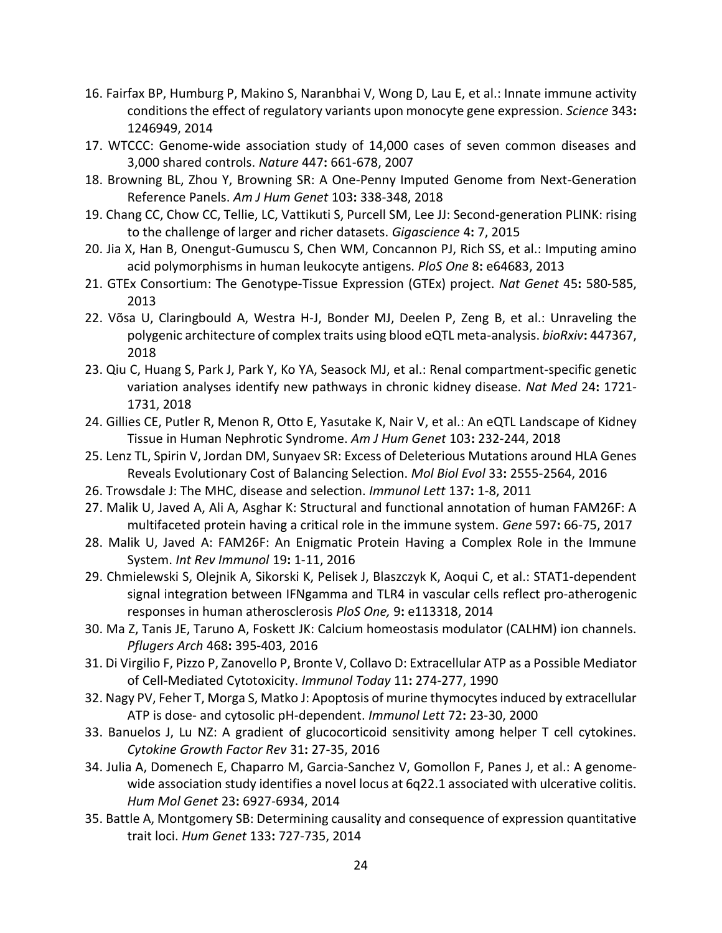- 16. Fairfax BP, Humburg P, Makino S, Naranbhai V, Wong D, Lau E, et al.: Innate immune activity conditions the effect of regulatory variants upon monocyte gene expression. *Science* 343**:**  1246949, 2014
- 17. WTCCC: Genome-wide association study of 14,000 cases of seven common diseases and 3,000 shared controls. *Nature* 447**:** 661-678, 2007
- 18. Browning BL, Zhou Y, Browning SR: A One-Penny Imputed Genome from Next-Generation Reference Panels. *Am J Hum Genet* 103**:** 338-348, 2018
- 19. Chang CC, Chow CC, Tellie, LC, Vattikuti S, Purcell SM, Lee JJ: Second-generation PLINK: rising to the challenge of larger and richer datasets. *Gigascience* 4**:** 7, 2015
- 20. Jia X, Han B, Onengut-Gumuscu S, Chen WM, Concannon PJ, Rich SS, et al.: Imputing amino acid polymorphisms in human leukocyte antigens. *PloS One* 8**:** e64683, 2013
- 21. GTEx Consortium: The Genotype-Tissue Expression (GTEx) project. *Nat Genet* 45**:** 580-585, 2013
- 22. Võsa U, Claringbould A, Westra H-J, Bonder MJ, Deelen P, Zeng B, et al.: Unraveling the polygenic architecture of complex traits using blood eQTL meta-analysis. *bioRxiv***:** 447367, 2018
- 23. Qiu C, Huang S, Park J, Park Y, Ko YA, Seasock MJ, et al.: Renal compartment-specific genetic variation analyses identify new pathways in chronic kidney disease. *Nat Med* 24**:** 1721- 1731, 2018
- 24. Gillies CE, Putler R, Menon R, Otto E, Yasutake K, Nair V, et al.: An eQTL Landscape of Kidney Tissue in Human Nephrotic Syndrome. *Am J Hum Genet* 103**:** 232-244, 2018
- 25. Lenz TL, Spirin V, Jordan DM, Sunyaev SR: Excess of Deleterious Mutations around HLA Genes Reveals Evolutionary Cost of Balancing Selection. *Mol Biol Evol* 33**:** 2555-2564, 2016
- 26. Trowsdale J: The MHC, disease and selection. *Immunol Lett* 137**:** 1-8, 2011
- 27. Malik U, Javed A, Ali A, Asghar K: Structural and functional annotation of human FAM26F: A multifaceted protein having a critical role in the immune system. *Gene* 597**:** 66-75, 2017
- 28. Malik U, Javed A: FAM26F: An Enigmatic Protein Having a Complex Role in the Immune System. *Int Rev Immunol* 19**:** 1-11, 2016
- 29. Chmielewski S, Olejnik A, Sikorski K, Pelisek J, Blaszczyk K, Aoqui C, et al.: STAT1-dependent signal integration between IFNgamma and TLR4 in vascular cells reflect pro-atherogenic responses in human atherosclerosis *PloS One,* 9**:** e113318, 2014
- 30. Ma Z, Tanis JE, Taruno A, Foskett JK: Calcium homeostasis modulator (CALHM) ion channels. *Pflugers Arch* 468**:** 395-403, 2016
- 31. Di Virgilio F, Pizzo P, Zanovello P, Bronte V, Collavo D: Extracellular ATP as a Possible Mediator of Cell-Mediated Cytotoxicity. *Immunol Today* 11**:** 274-277, 1990
- 32. Nagy PV, Feher T, Morga S, Matko J: Apoptosis of murine thymocytes induced by extracellular ATP is dose- and cytosolic pH-dependent. *Immunol Lett* 72**:** 23-30, 2000
- 33. Banuelos J, Lu NZ: A gradient of glucocorticoid sensitivity among helper T cell cytokines. *Cytokine Growth Factor Rev* 31**:** 27-35, 2016
- 34. Julia A, Domenech E, Chaparro M, Garcia-Sanchez V, Gomollon F, Panes J, et al.: A genomewide association study identifies a novel locus at 6q22.1 associated with ulcerative colitis. *Hum Mol Genet* 23**:** 6927-6934, 2014
- 35. Battle A, Montgomery SB: Determining causality and consequence of expression quantitative trait loci. *Hum Genet* 133**:** 727-735, 2014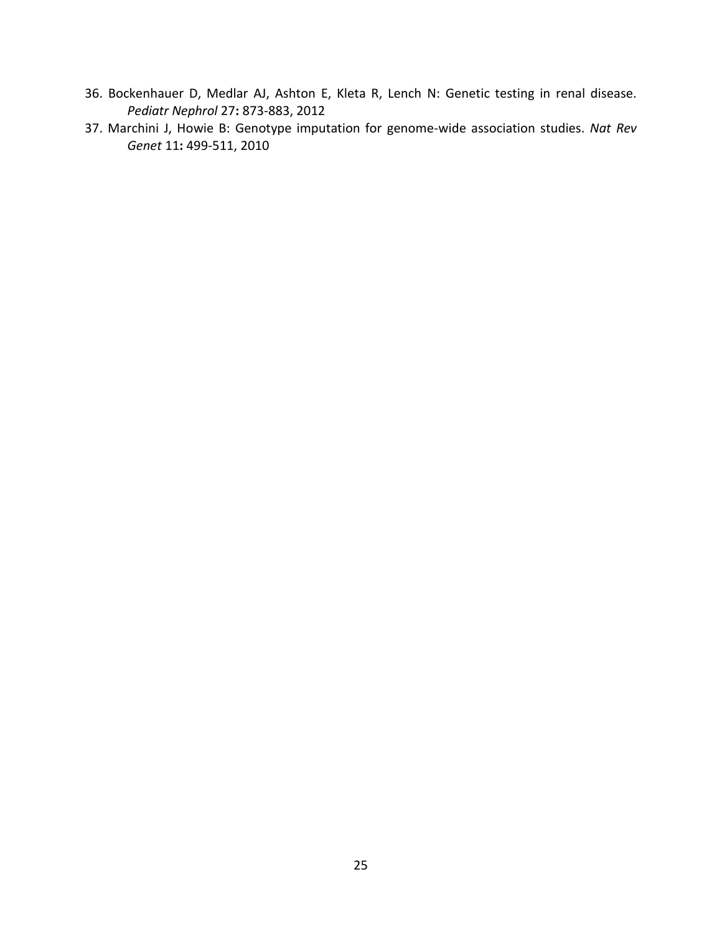- 36. Bockenhauer D, Medlar AJ, Ashton E, Kleta R, Lench N: Genetic testing in renal disease. *Pediatr Nephrol* 27**:** 873-883, 2012
- 37. Marchini J, Howie B: Genotype imputation for genome-wide association studies. *Nat Rev Genet* 11**:** 499-511, 2010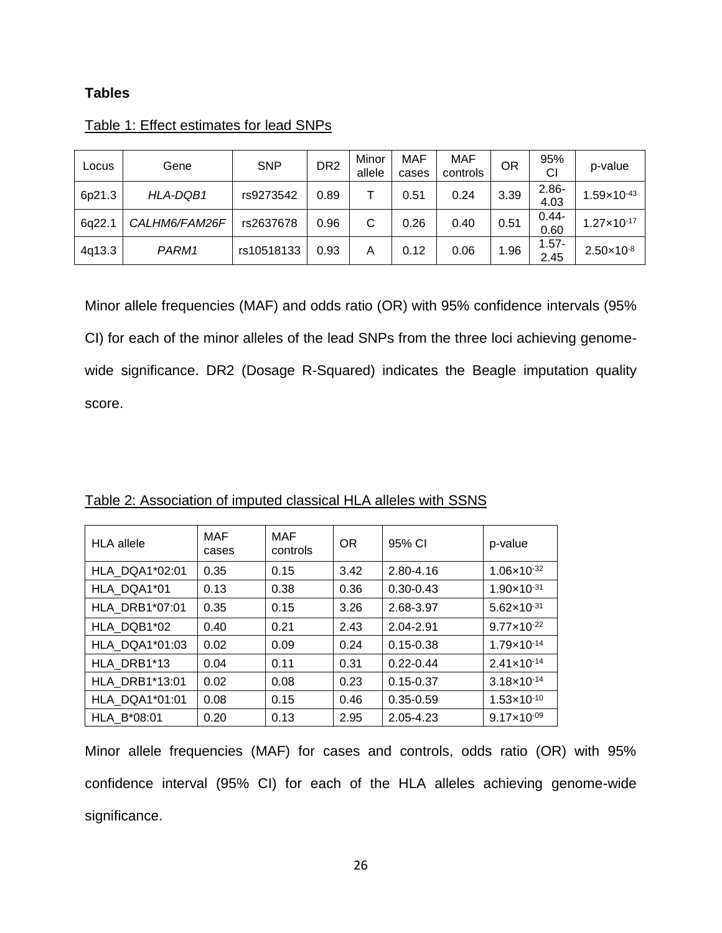# **Tables**

| Locus  | Gene          | <b>SNP</b> | DR <sub>2</sub> | Minor<br>allele | MAF<br>cases | <b>MAF</b><br>controls | OR   | 95%<br>СI        | p-value                |
|--------|---------------|------------|-----------------|-----------------|--------------|------------------------|------|------------------|------------------------|
| 6p21.3 | HLA-DQB1      | rs9273542  | 0.89            |                 | 0.51         | 0.24                   | 3.39 | $2.86 -$<br>4.03 | $1.59 \times 10^{-43}$ |
| 6q22.1 | CALHM6/FAM26F | rs2637678  | 0.96            | С               | 0.26         | 0.40                   | 0.51 | $0.44 -$<br>0.60 | $1.27 \times 10^{-17}$ |
| 4q13.3 | PARM1         | rs10518133 | 0.93            | A               | 0.12         | 0.06                   | 1.96 | $1.57 -$<br>2.45 | $2.50 \times 10^{-8}$  |

# Table 1: Effect estimates for lead SNPs

Minor allele frequencies (MAF) and odds ratio (OR) with 95% confidence intervals (95% CI) for each of the minor alleles of the lead SNPs from the three loci achieving genomewide significance. DR2 (Dosage R-Squared) indicates the Beagle imputation quality score.

| <b>HLA</b> allele     | <b>MAF</b><br>cases | MAF<br>controls | <b>OR</b> | 95% CI        | p-value                |
|-----------------------|---------------------|-----------------|-----------|---------------|------------------------|
| <b>HLA DQA1*02:01</b> | 0.35                | 0.15            | 3.42      | $2.80 - 4.16$ | $1.06 \times 10^{-32}$ |
| HLA DQA1*01           | 0.13                | 0.38            | 0.36      | $0.30 - 0.43$ | $1.90 \times 10^{-31}$ |
| <b>HLA DRB1*07:01</b> | 0.35                | 0.15            | 3.26      | 2.68-3.97     | $5.62 \times 10^{-31}$ |
| HLA DQB1*02           | 0.40                | 0.21            | 2.43      | 2.04-2.91     | $9.77 \times 10^{-22}$ |
| HLA DQA1*01:03        | 0.02                | 0.09            | 0.24      | $0.15 - 0.38$ | 1.79×10-14             |
| HLA DRB1*13           | 0.04                | 0.11            | 0.31      | $0.22 - 0.44$ | $2.41 \times 10^{-14}$ |
| <b>HLA DRB1*13:01</b> | 0.02                | 0.08            | 0.23      | $0.15 - 0.37$ | $3.18 \times 10^{-14}$ |
| HLA DQA1*01:01        | 0.08                | 0.15            | 0.46      | $0.35 - 0.59$ | $1.53 \times 10^{-10}$ |
| HLA B*08:01           | 0.20                | 0.13            | 2.95      | 2.05-4.23     | $9.17 \times 10^{-09}$ |

Table 2: Association of imputed classical HLA alleles with SSNS

Minor allele frequencies (MAF) for cases and controls, odds ratio (OR) with 95% confidence interval (95% CI) for each of the HLA alleles achieving genome-wide significance.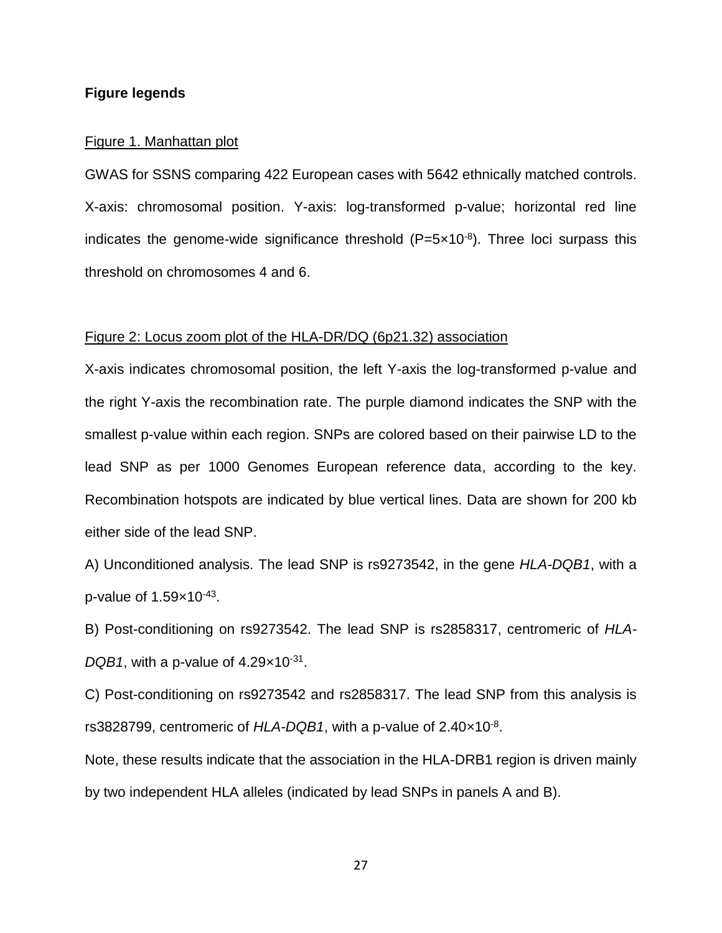#### **Figure legends**

#### Figure 1. Manhattan plot

GWAS for SSNS comparing 422 European cases with 5642 ethnically matched controls. X-axis: chromosomal position. Y-axis: log-transformed p-value; horizontal red line indicates the genome-wide significance threshold  $(P=5\times10^{-8})$ . Three loci surpass this threshold on chromosomes 4 and 6.

#### Figure 2: Locus zoom plot of the HLA-DR/DQ (6p21.32) association

X-axis indicates chromosomal position, the left Y-axis the log-transformed p-value and the right Y-axis the recombination rate. The purple diamond indicates the SNP with the smallest p-value within each region. SNPs are colored based on their pairwise LD to the lead SNP as per 1000 Genomes European reference data, according to the key. Recombination hotspots are indicated by blue vertical lines. Data are shown for 200 kb either side of the lead SNP.

A) Unconditioned analysis. The lead SNP is rs9273542, in the gene *HLA-DQB1*, with a p-value of  $1.59\times10^{-43}$ .

B) Post-conditioning on rs9273542. The lead SNP is rs2858317, centromeric of *HLA-*DQB1, with a p-value of 4.29×10<sup>-31</sup>.

C) Post-conditioning on rs9273542 and rs2858317. The lead SNP from this analysis is rs3828799, centromeric of HLA-DQB1, with a p-value of 2.40×10<sup>-8</sup>.

Note, these results indicate that the association in the HLA-DRB1 region is driven mainly by two independent HLA alleles (indicated by lead SNPs in panels A and B).